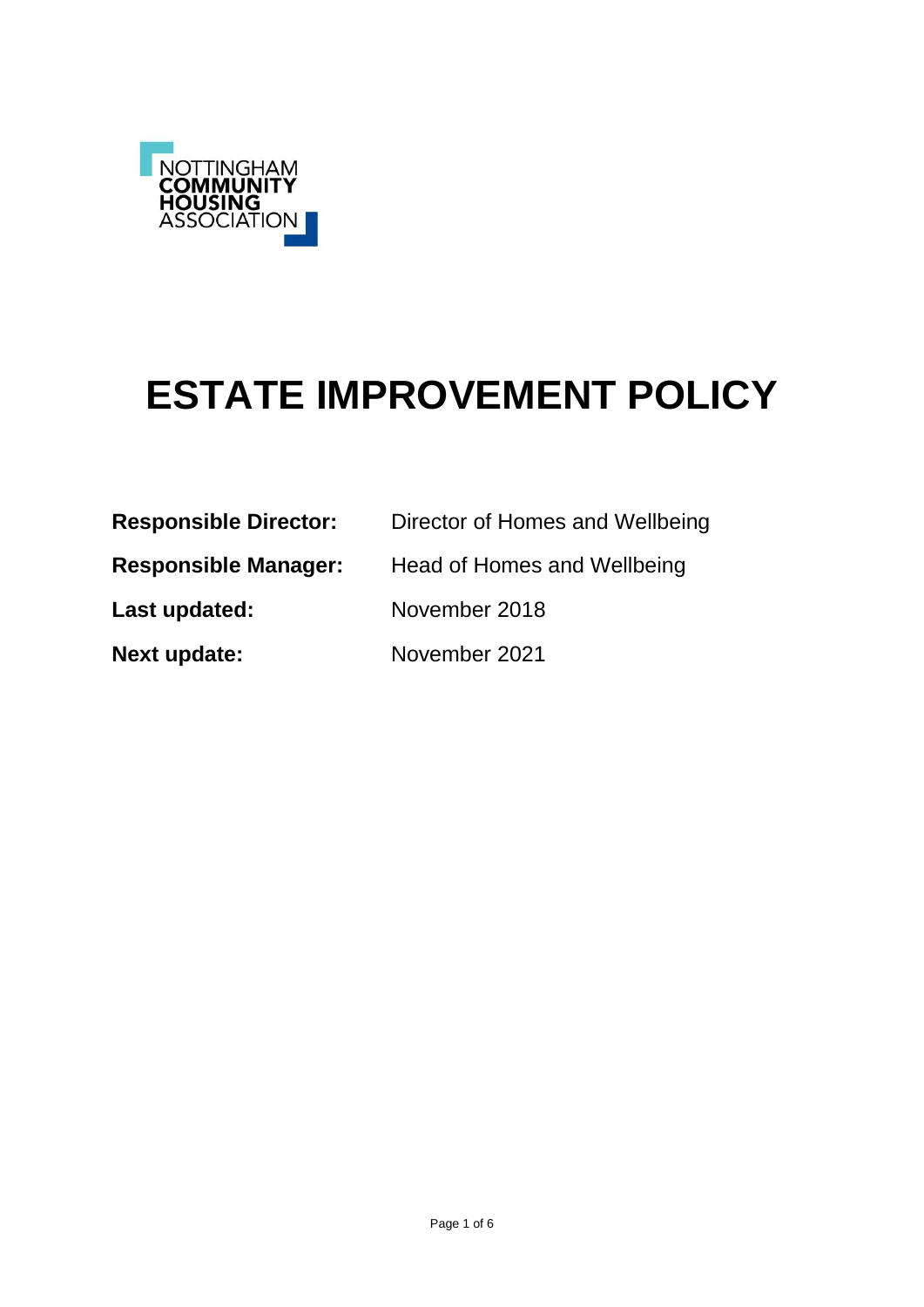

# **ESTATE IMPROVEMENT POLICY**

| <b>Responsible Director:</b> | Director of Homes and Wellbeing |
|------------------------------|---------------------------------|
| <b>Responsible Manager:</b>  | Head of Homes and Wellbeing     |
| Last updated:                | November 2018                   |
| <b>Next update:</b>          | November 2021                   |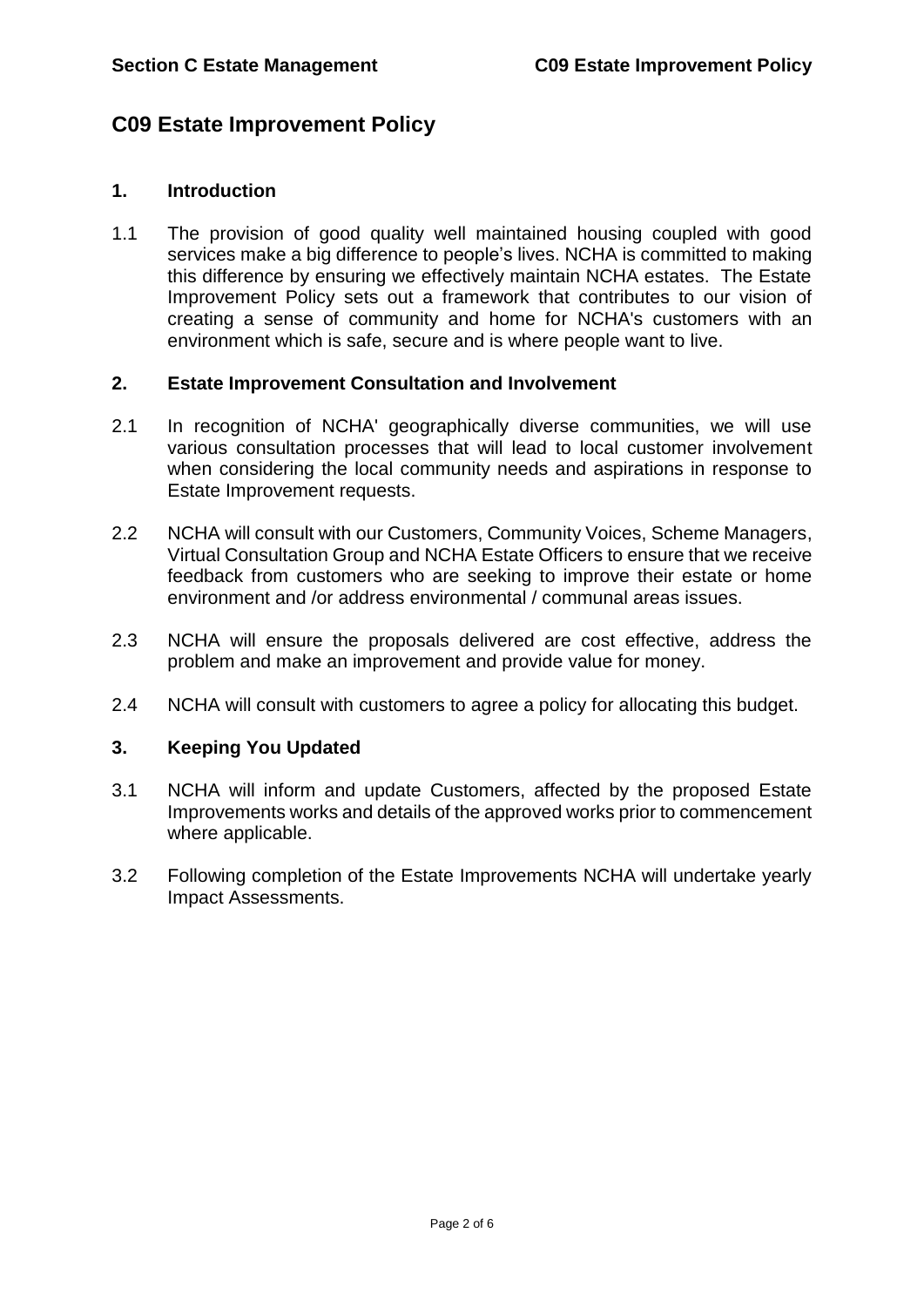## **C09 Estate Improvement Policy**

#### **1. Introduction**

1.1 The provision of good quality well maintained housing coupled with good services make a big difference to people's lives. NCHA is committed to making this difference by ensuring we effectively maintain NCHA estates. The Estate Improvement Policy sets out a framework that contributes to our vision of creating a sense of community and home for NCHA's customers with an environment which is safe, secure and is where people want to live.

#### **2. Estate Improvement Consultation and Involvement**

- 2.1 In recognition of NCHA' geographically diverse communities, we will use various consultation processes that will lead to local customer involvement when considering the local community needs and aspirations in response to Estate Improvement requests.
- 2.2 NCHA will consult with our Customers, Community Voices, Scheme Managers, Virtual Consultation Group and NCHA Estate Officers to ensure that we receive feedback from customers who are seeking to improve their estate or home environment and /or address environmental / communal areas issues.
- 2.3 NCHA will ensure the proposals delivered are cost effective, address the problem and make an improvement and provide value for money.
- 2.4 NCHA will consult with customers to agree a policy for allocating this budget.

### **3. Keeping You Updated**

- 3.1 NCHA will inform and update Customers, affected by the proposed Estate Improvements works and details of the approved works prior to commencement where applicable.
- 3.2 Following completion of the Estate Improvements NCHA will undertake yearly Impact Assessments.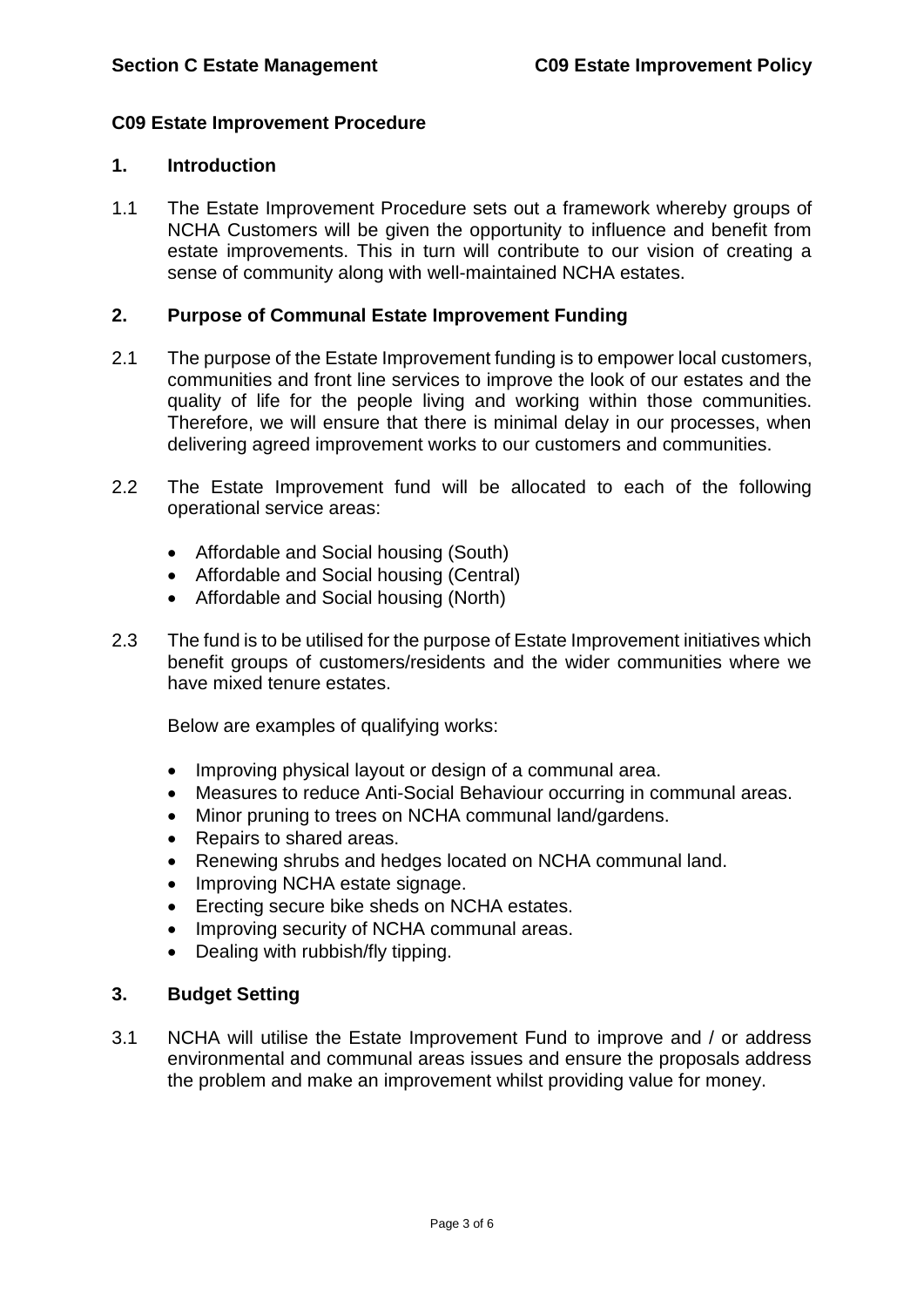#### **C09 Estate Improvement Procedure**

#### **1. Introduction**

1.1 The Estate Improvement Procedure sets out a framework whereby groups of NCHA Customers will be given the opportunity to influence and benefit from estate improvements. This in turn will contribute to our vision of creating a sense of community along with well-maintained NCHA estates.

#### **2. Purpose of Communal Estate Improvement Funding**

- 2.1 The purpose of the Estate Improvement funding is to empower local customers, communities and front line services to improve the look of our estates and the quality of life for the people living and working within those communities. Therefore, we will ensure that there is minimal delay in our processes, when delivering agreed improvement works to our customers and communities.
- 2.2 The Estate Improvement fund will be allocated to each of the following operational service areas:
	- Affordable and Social housing (South)
	- Affordable and Social housing (Central)
	- Affordable and Social housing (North)
- 2.3 The fund is to be utilised for the purpose of Estate Improvement initiatives which benefit groups of customers/residents and the wider communities where we have mixed tenure estates.

Below are examples of qualifying works:

- Improving physical layout or design of a communal area.
- Measures to reduce Anti-Social Behaviour occurring in communal areas.
- Minor pruning to trees on NCHA communal land/gardens.
- Repairs to shared areas.
- Renewing shrubs and hedges located on NCHA communal land.
- Improving NCHA estate signage.
- **Execting secure bike sheds on NCHA estates.**
- Improving security of NCHA communal areas.
- Dealing with rubbish/fly tipping.

#### **3. Budget Setting**

3.1 NCHA will utilise the Estate Improvement Fund to improve and / or address environmental and communal areas issues and ensure the proposals address the problem and make an improvement whilst providing value for money.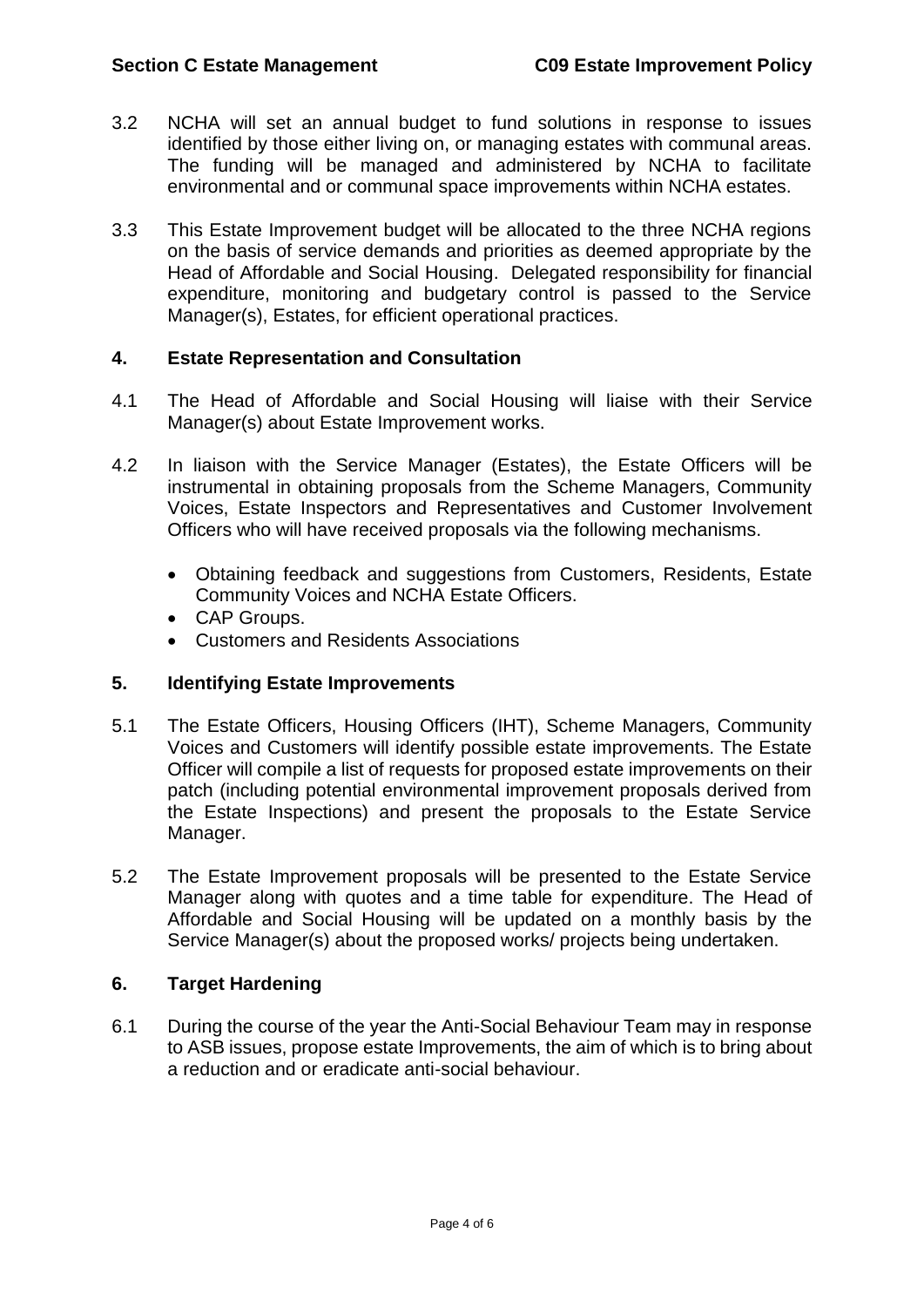- 3.2 NCHA will set an annual budget to fund solutions in response to issues identified by those either living on, or managing estates with communal areas. The funding will be managed and administered by NCHA to facilitate environmental and or communal space improvements within NCHA estates.
- 3.3 This Estate Improvement budget will be allocated to the three NCHA regions on the basis of service demands and priorities as deemed appropriate by the Head of Affordable and Social Housing. Delegated responsibility for financial expenditure, monitoring and budgetary control is passed to the Service Manager(s), Estates, for efficient operational practices.

#### **4. Estate Representation and Consultation**

- 4.1 The Head of Affordable and Social Housing will liaise with their Service Manager(s) about Estate Improvement works.
- 4.2 In liaison with the Service Manager (Estates), the Estate Officers will be instrumental in obtaining proposals from the Scheme Managers, Community Voices, Estate Inspectors and Representatives and Customer Involvement Officers who will have received proposals via the following mechanisms.
	- Obtaining feedback and suggestions from Customers, Residents, Estate Community Voices and NCHA Estate Officers.
	- CAP Groups.
	- Customers and Residents Associations

#### **5. Identifying Estate Improvements**

- 5.1 The Estate Officers, Housing Officers (IHT), Scheme Managers, Community Voices and Customers will identify possible estate improvements. The Estate Officer will compile a list of requests for proposed estate improvements on their patch (including potential environmental improvement proposals derived from the Estate Inspections) and present the proposals to the Estate Service Manager.
- 5.2 The Estate Improvement proposals will be presented to the Estate Service Manager along with quotes and a time table for expenditure. The Head of Affordable and Social Housing will be updated on a monthly basis by the Service Manager(s) about the proposed works/ projects being undertaken.

#### **6. Target Hardening**

6.1 During the course of the year the Anti-Social Behaviour Team may in response to ASB issues, propose estate Improvements, the aim of which is to bring about a reduction and or eradicate anti-social behaviour.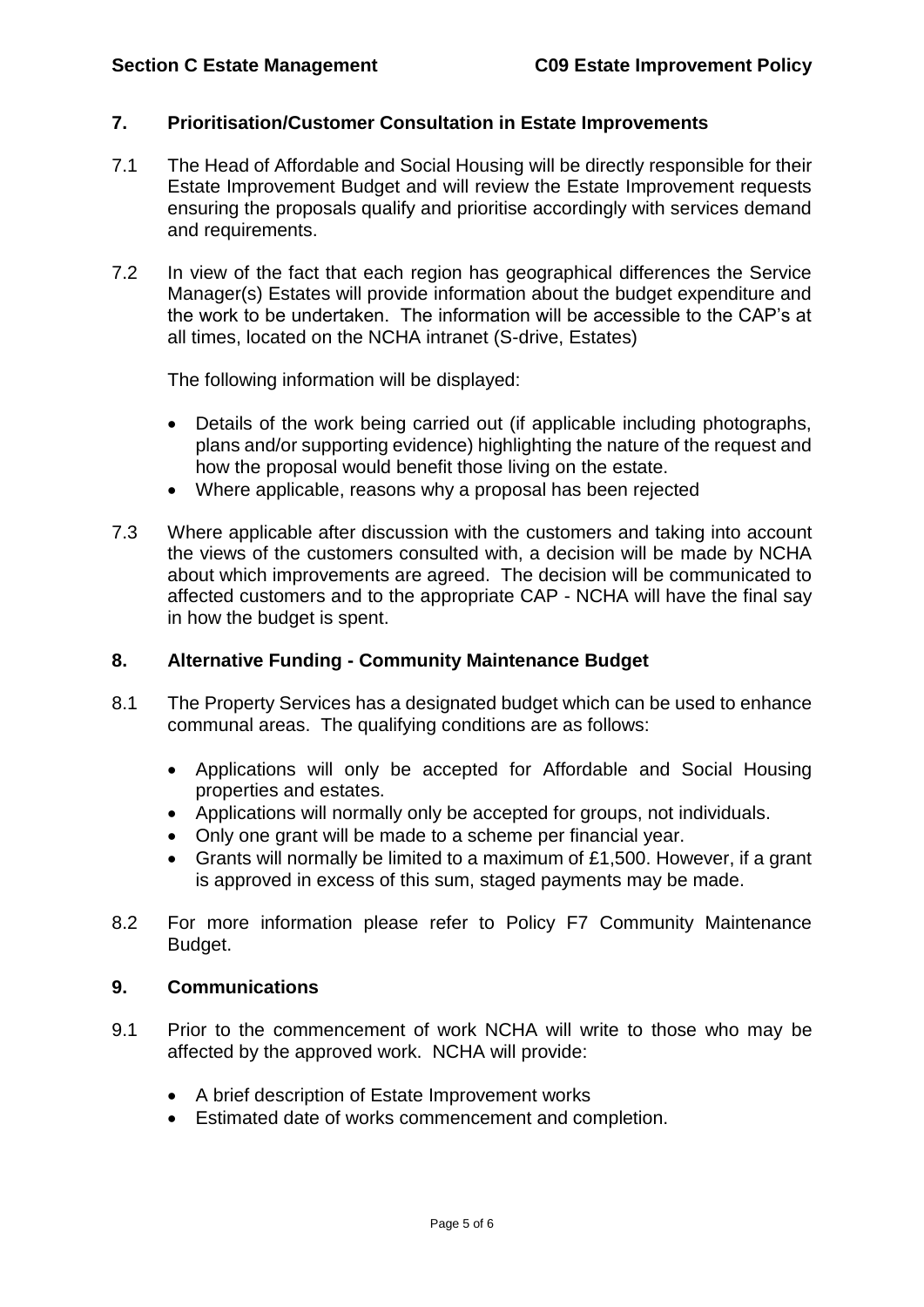### **7. Prioritisation/Customer Consultation in Estate Improvements**

- 7.1 The Head of Affordable and Social Housing will be directly responsible for their Estate Improvement Budget and will review the Estate Improvement requests ensuring the proposals qualify and prioritise accordingly with services demand and requirements.
- 7.2 In view of the fact that each region has geographical differences the Service Manager(s) Estates will provide information about the budget expenditure and the work to be undertaken. The information will be accessible to the CAP's at all times, located on the NCHA intranet (S-drive, Estates)

The following information will be displayed:

- Details of the work being carried out (if applicable including photographs, plans and/or supporting evidence) highlighting the nature of the request and how the proposal would benefit those living on the estate.
- Where applicable, reasons why a proposal has been rejected
- 7.3 Where applicable after discussion with the customers and taking into account the views of the customers consulted with, a decision will be made by NCHA about which improvements are agreed. The decision will be communicated to affected customers and to the appropriate CAP - NCHA will have the final say in how the budget is spent.

#### **8. Alternative Funding - Community Maintenance Budget**

- 8.1 The Property Services has a designated budget which can be used to enhance communal areas. The qualifying conditions are as follows:
	- Applications will only be accepted for Affordable and Social Housing properties and estates.
	- Applications will normally only be accepted for groups, not individuals.
	- Only one grant will be made to a scheme per financial year.
	- Grants will normally be limited to a maximum of £1,500. However, if a grant is approved in excess of this sum, staged payments may be made.
- 8.2 For more information please refer to Policy F7 Community Maintenance Budget.

#### **9. Communications**

- 9.1 Prior to the commencement of work NCHA will write to those who may be affected by the approved work. NCHA will provide:
	- A brief description of Estate Improvement works
	- Estimated date of works commencement and completion.